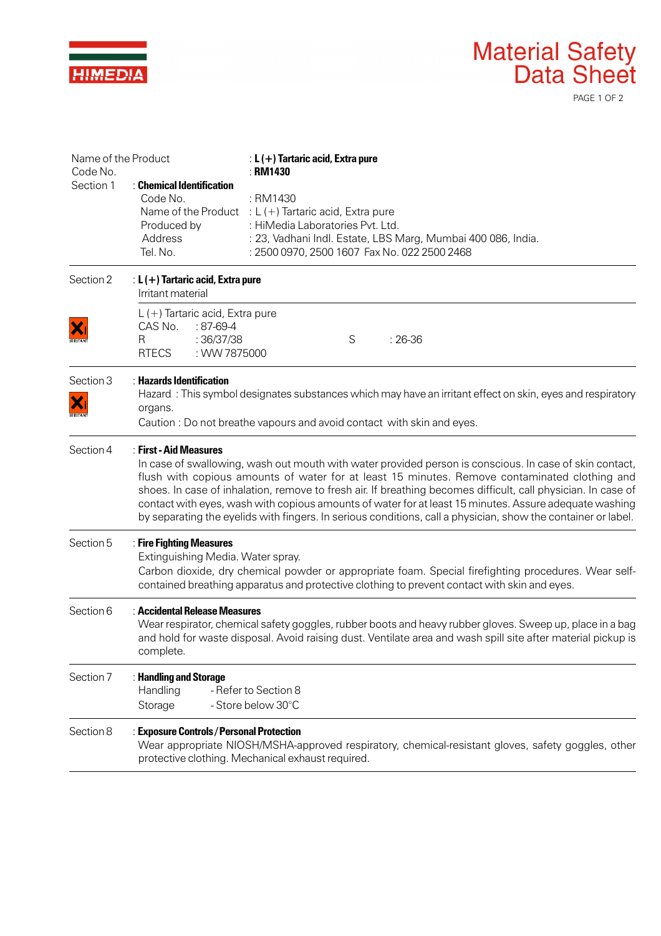|                                              |                                                                                                                                                                                                                                                                                                                                                                                                                                                                                                                                                                                |                                                                                                                                                                                                            | <b>Material Safety</b><br>Data Sheet<br>PAGE 1 OF 2                                                |
|----------------------------------------------|--------------------------------------------------------------------------------------------------------------------------------------------------------------------------------------------------------------------------------------------------------------------------------------------------------------------------------------------------------------------------------------------------------------------------------------------------------------------------------------------------------------------------------------------------------------------------------|------------------------------------------------------------------------------------------------------------------------------------------------------------------------------------------------------------|----------------------------------------------------------------------------------------------------|
| Name of the Product<br>Code No.<br>Section 1 | : Chemical Identification<br>Code No.<br>Produced by<br>Address<br>Tel. No.                                                                                                                                                                                                                                                                                                                                                                                                                                                                                                    | : $L$ (+) Tartaric acid, Extra pure<br>: RM1430<br>: RM1430<br>Name of the Product : $L (+)$ Tartaric acid, Extra pure<br>: HiMedia Laboratories Pvt. Ltd.<br>: 2500 0970, 2500 1607 Fax No. 022 2500 2468 | : 23, Vadhani Indl. Estate, LBS Marg, Mumbai 400 086, India.                                       |
| Section 2                                    | : $L$ (+) Tartaric acid, Extra pure<br>Irritant material                                                                                                                                                                                                                                                                                                                                                                                                                                                                                                                       |                                                                                                                                                                                                            |                                                                                                    |
| X<br><b>RRITAN</b>                           | $L$ (+) Tartaric acid, Extra pure<br>CAS No.<br>$:87-69-4$<br>:36/37/38<br>R<br>: WW 7875000<br><b>RTECS</b>                                                                                                                                                                                                                                                                                                                                                                                                                                                                   | S                                                                                                                                                                                                          | $: 26-36$                                                                                          |
| Section 3<br>RRITANT                         | $\therefore$ Hazards Identification<br>Hazard : This symbol designates substances which may have an irritant effect on skin, eyes and respiratory<br>organs.<br>Caution: Do not breathe vapours and avoid contact with skin and eyes.                                                                                                                                                                                                                                                                                                                                          |                                                                                                                                                                                                            |                                                                                                    |
| Section 4                                    | : First - Aid Measures<br>In case of swallowing, wash out mouth with water provided person is conscious. In case of skin contact,<br>flush with copious amounts of water for at least 15 minutes. Remove contaminated clothing and<br>shoes. In case of inhalation, remove to fresh air. If breathing becomes difficult, call physician. In case of<br>contact with eyes, wash with copious amounts of water for at least 15 minutes. Assure adequate washing<br>by separating the eyelids with fingers. In serious conditions, call a physician, show the container or label. |                                                                                                                                                                                                            |                                                                                                    |
| Section 5                                    | : Fire Fighting Measures<br>Extinguishing Media. Water spray.<br>Carbon dioxide, dry chemical powder or appropriate foam. Special firefighting procedures. Wear self-<br>contained breathing apparatus and protective clothing to prevent contact with skin and eyes.                                                                                                                                                                                                                                                                                                          |                                                                                                                                                                                                            |                                                                                                    |
| Section 6                                    | : Accidental Release Measures<br>Wear respirator, chemical safety goggles, rubber boots and heavy rubber gloves. Sweep up, place in a bag<br>and hold for waste disposal. Avoid raising dust. Ventilate area and wash spill site after material pickup is<br>complete.                                                                                                                                                                                                                                                                                                         |                                                                                                                                                                                                            |                                                                                                    |
| Section 7                                    | : Handling and Storage<br>Handling<br>Storage                                                                                                                                                                                                                                                                                                                                                                                                                                                                                                                                  | - Refer to Section 8<br>- Store below 30°C                                                                                                                                                                 |                                                                                                    |
| Section 8                                    | : Exposure Controls / Personal Protection                                                                                                                                                                                                                                                                                                                                                                                                                                                                                                                                      | protective clothing. Mechanical exhaust required.                                                                                                                                                          | Wear appropriate NIOSH/MSHA-approved respiratory, chemical-resistant gloves, safety goggles, other |